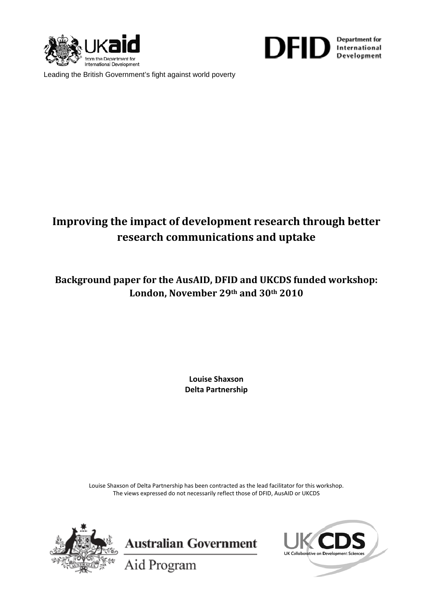



Leading the British Government's fight against world poverty

# **Improving the impact of development research through better research communications and uptake**

**Background paper for the AusAID, DFID and UKCDS funded workshop: London, November 29th and 30th 2010**

> **Louise Shaxson Delta Partnership**

Louise Shaxson of Delta Partnership has been contracted as the lead facilitator for this workshop. The views expressed do not necessarily reflect those of DFID, AusAID or UKCDS





Aid Program

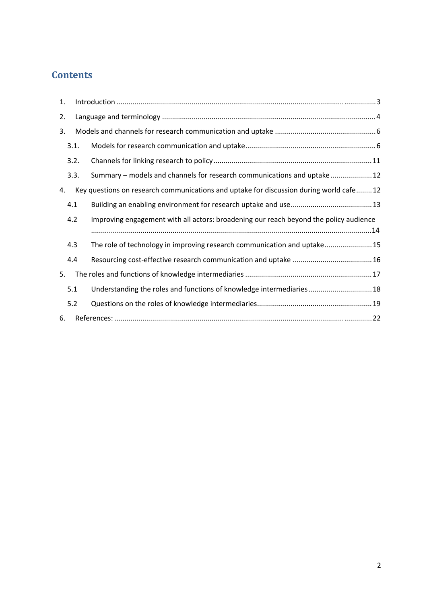# **Contents**

| 1. |      |                                                                                         |  |  |  |  |
|----|------|-----------------------------------------------------------------------------------------|--|--|--|--|
| 2. |      |                                                                                         |  |  |  |  |
| 3. |      |                                                                                         |  |  |  |  |
|    | 3.1. |                                                                                         |  |  |  |  |
|    | 3.2. |                                                                                         |  |  |  |  |
|    | 3.3. | Summary - models and channels for research communications and uptake 12                 |  |  |  |  |
| 4. |      | Key questions on research communications and uptake for discussion during world cafe 12 |  |  |  |  |
|    | 4.1  |                                                                                         |  |  |  |  |
|    |      |                                                                                         |  |  |  |  |
|    | 4.2  | Improving engagement with all actors: broadening our reach beyond the policy audience   |  |  |  |  |
|    |      |                                                                                         |  |  |  |  |
|    | 4.3  | The role of technology in improving research communication and uptake 15                |  |  |  |  |
|    | 4.4  |                                                                                         |  |  |  |  |
| 5. |      |                                                                                         |  |  |  |  |
|    | 5.1  | Understanding the roles and functions of knowledge intermediaries 18                    |  |  |  |  |
|    | 5.2  |                                                                                         |  |  |  |  |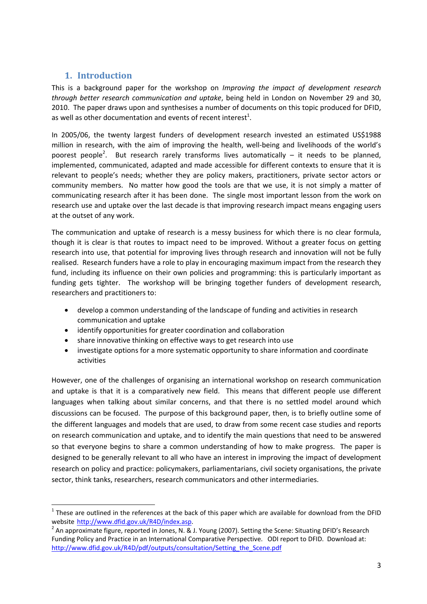# **1. Introduction**

This is a background paper for the workshop on *Improving the impact of development research through better research communication and uptake*, being held in London on November 29 and 30, 2010. The paper draws upon and synthesises a number of documents on this topic produced for DFID, as well as other documentation and events of recent interest<sup>1</sup>.

In 2005/06, the twenty largest funders of development research invested an estimated US\$1988 million in research, with the aim of improving the health, well-being and livelihoods of the world's poorest people<sup>2</sup>. But research rarely transforms lives automatically  $-$  it needs to be planned, implemented, communicated, adapted and made accessible for different contexts to ensure that it is relevant to people's needs; whether they are policy makers, practitioners, private sector actors or community members. No matter how good the tools are that we use, it is not simply a matter of communicating research after it has been done. The single most important lesson from the work on research use and uptake over the last decade is that improving research impact means engaging users at the outset of any work.

The communication and uptake of research is a messy business for which there is no clear formula, though it is clear is that routes to impact need to be improved. Without a greater focus on getting research into use, that potential for improving lives through research and innovation will not be fully realised. Research funders have a role to play in encouraging maximum impact from the research they fund, including its influence on their own policies and programming: this is particularly important as funding gets tighter. The workshop will be bringing together funders of development research, researchers and practitioners to:

- develop a common understanding of the landscape of funding and activities in research communication and uptake
- identify opportunities for greater coordination and collaboration
- share innovative thinking on effective ways to get research into use
- investigate options for a more systematic opportunity to share information and coordinate activities

However, one of the challenges of organising an international workshop on research communication and uptake is that it is a comparatively new field. This means that different people use different languages when talking about similar concerns, and that there is no settled model around which discussions can be focused. The purpose of this background paper, then, is to briefly outline some of the different languages and models that are used, to draw from some recent case studies and reports on research communication and uptake, and to identify the main questions that need to be answered so that everyone begins to share a common understanding of how to make progress. The paper is designed to be generally relevant to all who have an interest in improving the impact of development research on policy and practice: policymakers, parliamentarians, civil society organisations, the private sector, think tanks, researchers, research communicators and other intermediaries.

 $1$  These are outlined in the references at the back of this paper which are available for download from the DFID

website http://www.dfid.gov.uk/R4D/index.asp.<br><sup>2</sup> An approximate figure, reported in Jones, N. & J. Young (2007). Setting the Scene: Situating DFID's Research Funding Policy and Practice in an International Comparative Perspective. ODI report to DFID. Download at: http://www.dfid.gov.uk/R4D/pdf/outputs/consultation/Setting\_the\_Scene.pdf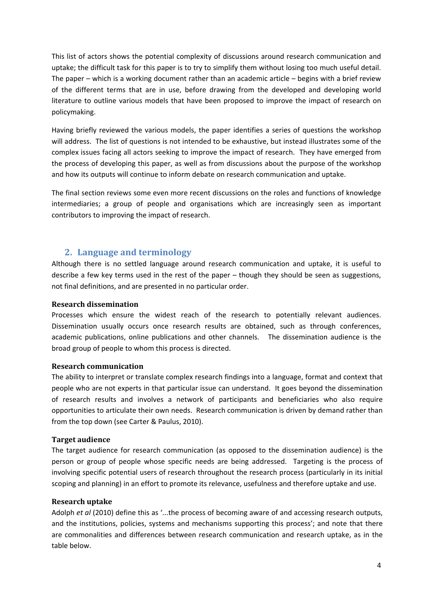This list of actors shows the potential complexity of discussions around research communication and uptake; the difficult task for this paper is to try to simplify them without losing too much useful detail. The paper – which is a working document rather than an academic article – begins with a brief review of the different terms that are in use, before drawing from the developed and developing world literature to outline various models that have been proposed to improve the impact of research on policymaking.

Having briefly reviewed the various models, the paper identifies a series of questions the workshop will address. The list of questions is not intended to be exhaustive, but instead illustrates some of the complex issues facing all actors seeking to improve the impact of research. They have emerged from the process of developing this paper, as well as from discussions about the purpose of the workshop and how its outputs will continue to inform debate on research communication and uptake.

The final section reviews some even more recent discussions on the roles and functions of knowledge intermediaries; a group of people and organisations which are increasingly seen as important contributors to improving the impact of research.

### **2. Language and terminology**

Although there is no settled language around research communication and uptake, it is useful to describe a few key terms used in the rest of the paper – though they should be seen as suggestions, not final definitions, and are presented in no particular order.

#### **Research dissemination**

Processes which ensure the widest reach of the research to potentially relevant audiences. Dissemination usually occurs once research results are obtained, such as through conferences, academic publications, online publications and other channels. The dissemination audience is the broad group of people to whom this process is directed.

#### **Research communication**

The ability to interpret or translate complex research findings into a language, format and context that people who are not experts in that particular issue can understand. It goes beyond the dissemination of research results and involves a network of participants and beneficiaries who also require opportunities to articulate their own needs. Research communication is driven by demand rather than from the top down (see Carter & Paulus, 2010).

### **Target audience**

The target audience for research communication (as opposed to the dissemination audience) is the person or group of people whose specific needs are being addressed. Targeting is the process of involving specific potential users of research throughout the research process (particularly in its initial scoping and planning) in an effort to promote its relevance, usefulness and therefore uptake and use.

#### **Research uptake**

Adolph *et al* (2010) define this as '...the process of becoming aware of and accessing research outputs, and the institutions, policies, systems and mechanisms supporting this process'; and note that there are commonalities and differences between research communication and research uptake, as in the table below.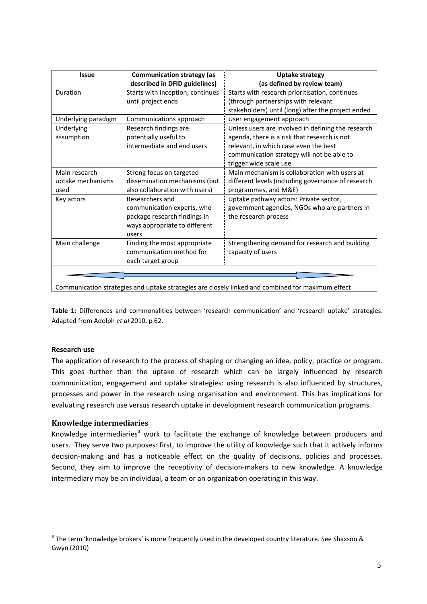| <b>Issue</b>        | <b>Communication strategy (as</b> | <b>Uptake strategy</b>                             |  |  |
|---------------------|-----------------------------------|----------------------------------------------------|--|--|
|                     | described in DFID guidelines)     | (as defined by review team)                        |  |  |
| Duration            | Starts with inception, continues  | Starts with research prioritisation, continues     |  |  |
|                     | until project ends                | (through partnerships with relevant                |  |  |
|                     |                                   | stakeholders) until (long) after the project ended |  |  |
| Underlying paradigm | Communications approach           | User engagement approach                           |  |  |
| Underlying          | Research findings are             | Unless users are involved in defining the research |  |  |
| assumption          | potentially useful to             | agenda, there is a risk that research is not       |  |  |
|                     | intermediate and end users        | relevant, in which case even the best              |  |  |
|                     |                                   | communication strategy will not be able to         |  |  |
|                     |                                   | trigger wide scale use                             |  |  |
| Main research       | Strong focus on targeted          | Main mechanism is collaboration with users at      |  |  |
| uptake mechanisms   | dissemination mechanisms (but     | different levels (including governance of research |  |  |
| used                | also collaboration with users)    | programmes, and M&E)                               |  |  |
| Key actors          | Researchers and                   | Uptake pathway actors: Private sector,             |  |  |
|                     | communication experts, who        | government agencies, NGOs who are partners in      |  |  |
|                     | package research findings in      | the research process                               |  |  |
|                     | ways appropriate to different     |                                                    |  |  |
|                     | users                             |                                                    |  |  |
| Main challenge      | Finding the most appropriate      | Strengthening demand for research and building     |  |  |
|                     | communication method for          | capacity of users                                  |  |  |
|                     | each target group                 |                                                    |  |  |
|                     |                                   |                                                    |  |  |
|                     |                                   |                                                    |  |  |

Communication strategies and uptake strategies are closely linked and combined for maximum effect

**Table 1:** Differences and commonalities between 'research communication' and 'research uptake' strategies. Adapted from Adolph *et al* 2010, p 62.

#### **Research use**

The application of research to the process of shaping or changing an idea, policy, practice or program. This goes further than the uptake of research which can be largely influenced by research communication, engagement and uptake strategies: using research is also influenced by structures, processes and power in the research using organisation and environment. This has implications for evaluating research use versus research uptake in development research communication programs.

#### **Knowledge intermediaries**

Knowledge intermediaries<sup>3</sup> work to facilitate the exchange of knowledge between producers and users. They serve two purposes: first, to improve the utility of knowledge such that it actively informs decision-making and has a noticeable effect on the quality of decisions, policies and processes. Second, they aim to improve the receptivity of decision-makers to new knowledge. A knowledge intermediary may be an individual, a team or an organization operating in this way.

 $3$  The term 'knowledge brokers' is more frequently used in the developed country literature. See Shaxson & Gwyn (2010)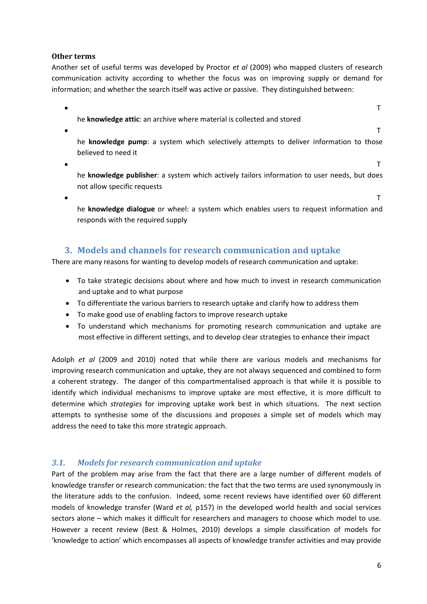#### **Other terms**

Another set of useful terms was developed by Proctor *et al* (2009) who mapped clusters of research communication activity according to whether the focus was on improving supply or demand for information; and whether the search itself was active or passive. They distinguished between:

he **knowledge attic**: an archive where material is collected and stored

 $\bullet$  The contract of the contract of the contract of the contract of the contract of the contract of the contract of the contract of the contract of the contract of the contract of the contract of the contract of the cont

 $\bullet$  The contract of the contract of the contract of the contract of the contract of the contract of the contract of the contract of the contract of the contract of the contract of the contract of the contract of the cont

he **knowledge pump**: a system which selectively attempts to deliver information to those believed to need it

 $\bullet$  The contract of the contract of the contract of the contract of the contract of the contract of the contract of the contract of the contract of the contract of the contract of the contract of the contract of the cont

he **knowledge publisher**: a system which actively tailors information to user needs, but does not allow specific requests

 $\bullet$  The contract of the contract of the contract of the contract of the contract of the contract of the contract of the contract of the contract of the contract of the contract of the contract of the contract of the cont

he **knowledge dialogue** or wheel: a system which enables users to request information and responds with the required supply

# **3. Models and channels for research communication and uptake**

There are many reasons for wanting to develop models of research communication and uptake:

- To take strategic decisions about where and how much to invest in research communication and uptake and to what purpose
- To differentiate the various barriers to research uptake and clarify how to address them
- To make good use of enabling factors to improve research uptake
- To understand which mechanisms for promoting research communication and uptake are most effective in different settings, and to develop clear strategies to enhance their impact

Adolph *et al* (2009 and 2010) noted that while there are various models and mechanisms for improving research communication and uptake, they are not always sequenced and combined to form a coherent strategy. The danger of this compartmentalised approach is that while it is possible to identify which individual mechanisms to improve uptake are most effective, it is more difficult to determine which *strategies* for improving uptake work best in which situations. The next section attempts to synthesise some of the discussions and proposes a simple set of models which may address the need to take this more strategic approach.

## *3.1. Models for research communication and uptake*

Part of the problem may arise from the fact that there are a large number of different models of knowledge transfer or research communication: the fact that the two terms are used synonymously in the literature adds to the confusion. Indeed, some recent reviews have identified over 60 different models of knowledge transfer (Ward *et al,* p157) in the developed world health and social services sectors alone – which makes it difficult for researchers and managers to choose which model to use. However a recent review (Best & Holmes, 2010) develops a simple classification of models for 'knowledge to action' which encompasses all aspects of knowledge transfer activities and may provide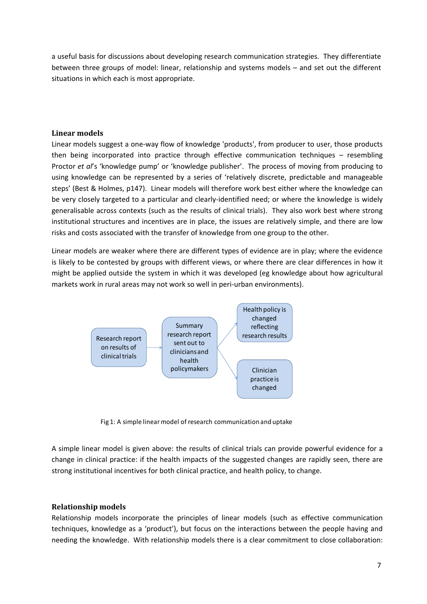a useful basis for discussions about developing research communication strategies. They differentiate between three groups of model: linear, relationship and systems models – and set out the different situations in which each is most appropriate.

#### **Linear models**

Linear models suggest a one‐way flow of knowledge 'products', from producer to user, those products then being incorporated into practice through effective communication techniques – resembling Proctor *et al*'s 'knowledge pump' or 'knowledge publisher'. The process of moving from producing to using knowledge can be represented by a series of 'relatively discrete, predictable and manageable steps' (Best & Holmes, p147). Linear models will therefore work best either where the knowledge can be very closely targeted to a particular and clearly-identified need; or where the knowledge is widely generalisable across contexts (such as the results of clinical trials). They also work best where strong institutional structures and incentives are in place, the issues are relatively simple, and there are low risks and costs associated with the transfer of knowledge from one group to the other.

Linear models are weaker where there are different types of evidence are in play; where the evidence is likely to be contested by groups with different views, or where there are clear differences in how it might be applied outside the system in which it was developed (eg knowledge about how agricultural markets work in rural areas may not work so well in peri‐urban environments).



Fig 1: A simple linear model of research communication and uptake

A simple linear model is given above: the results of clinical trials can provide powerful evidence for a change in clinical practice: if the health impacts of the suggested changes are rapidly seen, there are strong institutional incentives for both clinical practice, and health policy, to change.

#### **Relationship models**

Relationship models incorporate the principles of linear models (such as effective communication techniques, knowledge as a 'product'), but focus on the interactions between the people having and needing the knowledge. With relationship models there is a clear commitment to close collaboration: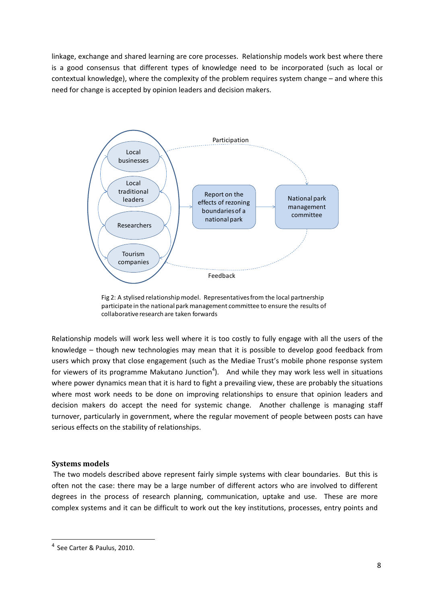linkage, exchange and shared learning are core processes. Relationship models work best where there is a good consensus that different types of knowledge need to be incorporated (such as local or contextual knowledge), where the complexity of the problem requires system change – and where this need for change is accepted by opinion leaders and decision makers.



Fig 2: A stylised relationship model. Representatives from the local partnership participate in the national park management committee to ensure the results of collaborative research are taken forwards

Relationship models will work less well where it is too costly to fully engage with all the users of the knowledge – though new technologies may mean that it is possible to develop good feedback from users which proxy that close engagement (such as the Mediae Trust's mobile phone response system for viewers of its programme Makutano Junction<sup>4</sup>). And while they may work less well in situations where power dynamics mean that it is hard to fight a prevailing view, these are probably the situations where most work needs to be done on improving relationships to ensure that opinion leaders and decision makers do accept the need for systemic change. Another challenge is managing staff turnover, particularly in government, where the regular movement of people between posts can have serious effects on the stability of relationships.

#### **Systems models**

The two models described above represent fairly simple systems with clear boundaries. But this is often not the case: there may be a large number of different actors who are involved to different degrees in the process of research planning, communication, uptake and use. These are more complex systems and it can be difficult to work out the key institutions, processes, entry points and

<sup>4</sup> See Carter & Paulus, 2010.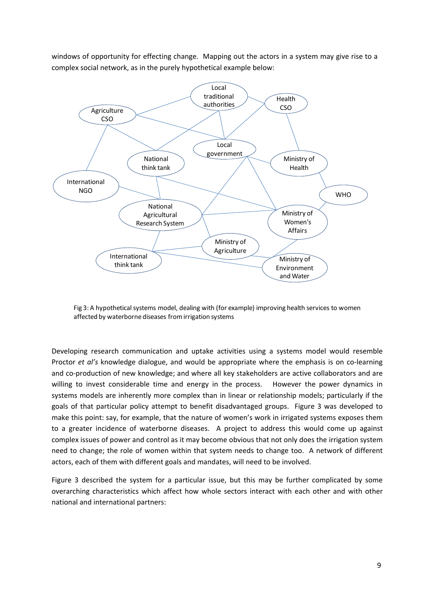



Fig 3: A hypothetical systems model, dealing with (for example) improving health services to women affected by waterborne diseases fromirrigation systems

Developing research communication and uptake activities using a systems model would resemble Proctor *et al's* knowledge dialogue, and would be appropriate where the emphasis is on co-learning and co-production of new knowledge; and where all key stakeholders are active collaborators and are willing to invest considerable time and energy in the process. However the power dynamics in systems models are inherently more complex than in linear or relationship models; particularly if the goals of that particular policy attempt to benefit disadvantaged groups. Figure 3 was developed to make this point: say, for example, that the nature of women's work in irrigated systems exposes them to a greater incidence of waterborne diseases. A project to address this would come up against complex issues of power and control as it may become obvious that not only does the irrigation system need to change; the role of women within that system needs to change too. A network of different actors, each of them with different goals and mandates, will need to be involved.

Figure 3 described the system for a particular issue, but this may be further complicated by some overarching characteristics which affect how whole sectors interact with each other and with other national and international partners: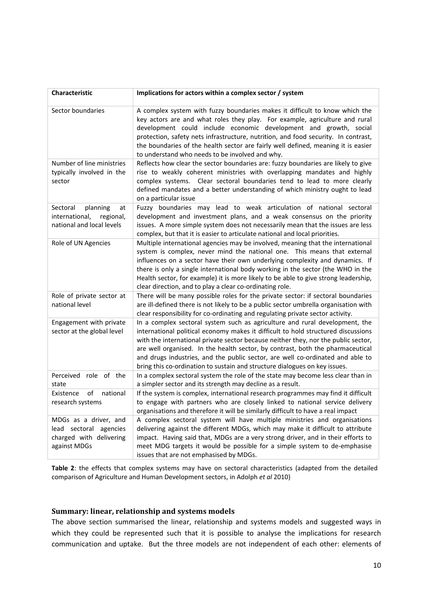| <b>Characteristic</b>                                                                      | Implications for actors within a complex sector / system                                                                                                                                                                                                                                                                                                                                                                                                                                                 |  |  |  |
|--------------------------------------------------------------------------------------------|----------------------------------------------------------------------------------------------------------------------------------------------------------------------------------------------------------------------------------------------------------------------------------------------------------------------------------------------------------------------------------------------------------------------------------------------------------------------------------------------------------|--|--|--|
| Sector boundaries                                                                          | A complex system with fuzzy boundaries makes it difficult to know which the<br>key actors are and what roles they play. For example, agriculture and rural<br>development could include economic development and growth, social<br>protection, safety nets infrastructure, nutrition, and food security. In contrast,<br>the boundaries of the health sector are fairly well defined, meaning it is easier<br>to understand who needs to be involved and why.                                            |  |  |  |
| Number of line ministries<br>typically involved in the<br>sector                           | Reflects how clear the sector boundaries are: fuzzy boundaries are likely to give<br>rise to weakly coherent ministries with overlapping mandates and highly<br>complex systems. Clear sectoral boundaries tend to lead to more clearly<br>defined mandates and a better understanding of which ministry ought to lead<br>on a particular issue                                                                                                                                                          |  |  |  |
| Sectoral<br>planning<br>at<br>international,<br>regional,<br>national and local levels     | Fuzzy boundaries may lead to weak articulation of national sectoral<br>development and investment plans, and a weak consensus on the priority<br>issues. A more simple system does not necessarily mean that the issues are less<br>complex, but that it is easier to articulate national and local priorities.                                                                                                                                                                                          |  |  |  |
| Role of UN Agencies                                                                        | Multiple international agencies may be involved, meaning that the international<br>system is complex, never mind the national one. This means that external<br>influences on a sector have their own underlying complexity and dynamics. If<br>there is only a single international body working in the sector (the WHO in the<br>Health sector, for example) it is more likely to be able to give strong leadership,<br>clear direction, and to play a clear co-ordinating role.                        |  |  |  |
| Role of private sector at<br>national level                                                | There will be many possible roles for the private sector: if sectoral boundaries<br>are ill-defined there is not likely to be a public sector umbrella organisation with<br>clear responsibility for co-ordinating and regulating private sector activity.                                                                                                                                                                                                                                               |  |  |  |
| Engagement with private<br>sector at the global level                                      | In a complex sectoral system such as agriculture and rural development, the<br>international political economy makes it difficult to hold structured discussions<br>with the international private sector because neither they, nor the public sector,<br>are well organised. In the health sector, by contrast, both the pharmaceutical<br>and drugs industries, and the public sector, are well co-ordinated and able to<br>bring this co-ordination to sustain and structure dialogues on key issues. |  |  |  |
| role of the<br>Perceived<br>state                                                          | In a complex sectoral system the role of the state may become less clear than in<br>a simpler sector and its strength may decline as a result.                                                                                                                                                                                                                                                                                                                                                           |  |  |  |
| of<br>national<br>Existence<br>research systems                                            | If the system is complex, international research programmes may find it difficult<br>to engage with partners who are closely linked to national service delivery<br>organisations and therefore it will be similarly difficult to have a real impact                                                                                                                                                                                                                                                     |  |  |  |
| MDGs as a driver, and<br>lead sectoral agencies<br>charged with delivering<br>against MDGs | A complex sectoral system will have multiple ministries and organisations<br>delivering against the different MDGs, which may make it difficult to attribute<br>impact. Having said that, MDGs are a very strong driver, and in their efforts to<br>meet MDG targets it would be possible for a simple system to de-emphasise<br>issues that are not emphasised by MDGs.                                                                                                                                 |  |  |  |

**Table 2**: the effects that complex systems may have on sectoral characteristics (adapted from the detailed comparison of Agriculture and Human Development sectors, in Adolph *et al* 2010)

#### **Summary: linear, relationship and systems models**

The above section summarised the linear, relationship and systems models and suggested ways in which they could be represented such that it is possible to analyse the implications for research communication and uptake. But the three models are not independent of each other: elements of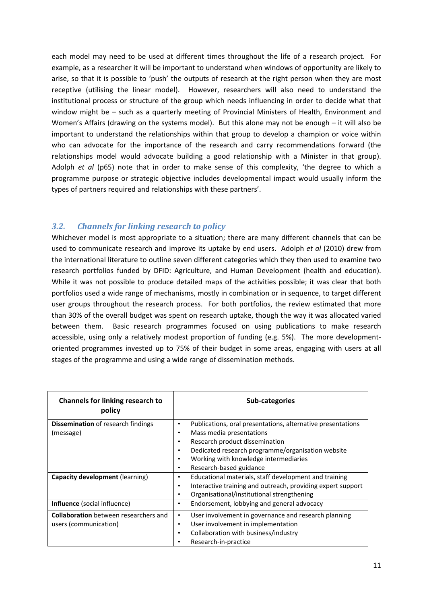each model may need to be used at different times throughout the life of a research project. For example, as a researcher it will be important to understand when windows of opportunity are likely to arise, so that it is possible to 'push' the outputs of research at the right person when they are most receptive (utilising the linear model). However, researchers will also need to understand the institutional process or structure of the group which needs influencing in order to decide what that window might be – such as a quarterly meeting of Provincial Ministers of Health, Environment and Women's Affairs (drawing on the systems model). But this alone may not be enough – it will also be important to understand the relationships within that group to develop a champion or voice within who can advocate for the importance of the research and carry recommendations forward (the relationships model would advocate building a good relationship with a Minister in that group). Adolph *et al* (p65) note that in order to make sense of this complexity, 'the degree to which a programme purpose or strategic objective includes developmental impact would usually inform the types of partners required and relationships with these partners'.

## *3.2. Channels for linking research to policy*

Whichever model is most appropriate to a situation; there are many different channels that can be used to communicate research and improve its uptake by end users. Adolph *et al* (2010) drew from the international literature to outline seven different categories which they then used to examine two research portfolios funded by DFID: Agriculture, and Human Development (health and education). While it was not possible to produce detailed maps of the activities possible; it was clear that both portfolios used a wide range of mechanisms, mostly in combination or in sequence, to target different user groups throughout the research process. For both portfolios, the review estimated that more than 30% of the overall budget was spent on research uptake, though the way it was allocated varied between them. Basic research programmes focused on using publications to make research accessible, using only a relatively modest proportion of funding (e.g. 5%). The more developmentoriented programmes invested up to 75% of their budget in some areas, engaging with users at all stages of the programme and using a wide range of dissemination methods.

| <b>Channels for linking research to</b><br>policy                      | Sub-categories                                                                                                                                                                                                                                                                                           |
|------------------------------------------------------------------------|----------------------------------------------------------------------------------------------------------------------------------------------------------------------------------------------------------------------------------------------------------------------------------------------------------|
| <b>Dissemination</b> of research findings<br>(message)                 | Publications, oral presentations, alternative presentations<br>٠<br>Mass media presentations<br>٠<br>Research product dissemination<br>٠<br>Dedicated research programme/organisation website<br>$\bullet$<br>Working with knowledge intermediaries<br>$\bullet$<br>Research-based guidance<br>$\bullet$ |
| <b>Capacity development (learning)</b><br>Influence (social influence) | Educational materials, staff development and training<br>٠<br>Interactive training and outreach, providing expert support<br>$\bullet$<br>Organisational/institutional strengthening<br>٠<br>Endorsement, lobbying and general advocacy<br>٠                                                             |
|                                                                        |                                                                                                                                                                                                                                                                                                          |
| <b>Collaboration</b> between researchers and<br>users (communication)  | User involvement in governance and research planning<br>٠<br>User involvement in implementation<br>٠<br>Collaboration with business/industry<br>٠<br>Research-in-practice<br>٠                                                                                                                           |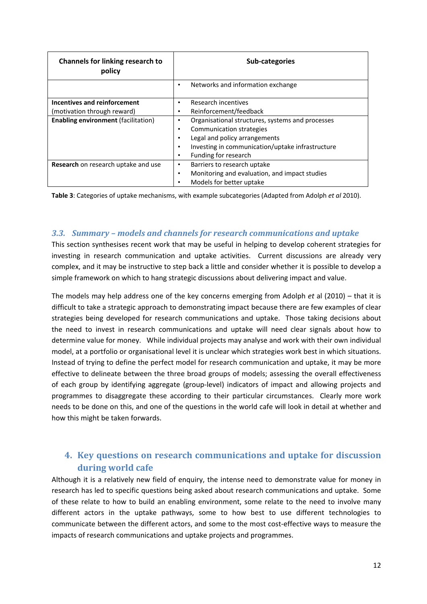| <b>Channels for linking research to</b><br>policy | Sub-categories                                     |  |  |  |
|---------------------------------------------------|----------------------------------------------------|--|--|--|
|                                                   | Networks and information exchange                  |  |  |  |
| Incentives and reinforcement                      | Research incentives                                |  |  |  |
| (motivation through reward)                       | Reinforcement/feedback                             |  |  |  |
| <b>Enabling environment (facilitation)</b>        | Organisational structures, systems and processes   |  |  |  |
|                                                   | Communication strategies                           |  |  |  |
|                                                   | Legal and policy arrangements                      |  |  |  |
|                                                   | Investing in communication/uptake infrastructure   |  |  |  |
|                                                   | Funding for research                               |  |  |  |
| Research on research uptake and use               | Barriers to research uptake<br>٠                   |  |  |  |
|                                                   | Monitoring and evaluation, and impact studies<br>٠ |  |  |  |
|                                                   | Models for better uptake                           |  |  |  |

**Table 3**: Categories of uptake mechanisms, with example subcategories (Adapted from Adolph *et al* 2010).

## *3.3. Summary – models and channels for research communications and uptake*

This section synthesises recent work that may be useful in helping to develop coherent strategies for investing in research communication and uptake activities. Current discussions are already very complex, and it may be instructive to step back a little and consider whether it is possible to develop a simple framework on which to hang strategic discussions about delivering impact and value.

The models may help address one of the key concerns emerging from Adolph *et* al (2010) – that it is difficult to take a strategic approach to demonstrating impact because there are few examples of clear strategies being developed for research communications and uptake. Those taking decisions about the need to invest in research communications and uptake will need clear signals about how to determine value for money. While individual projects may analyse and work with their own individual model, at a portfolio or organisational level it is unclear which strategies work best in which situations. Instead of trying to define the perfect model for research communication and uptake, it may be more effective to delineate between the three broad groups of models; assessing the overall effectiveness of each group by identifying aggregate (group‐level) indicators of impact and allowing projects and programmes to disaggregate these according to their particular circumstances. Clearly more work needs to be done on this, and one of the questions in the world cafe will look in detail at whether and how this might be taken forwards.

# **4. Key questions on research communications and uptake for discussion during world cafe**

Although it is a relatively new field of enquiry, the intense need to demonstrate value for money in research has led to specific questions being asked about research communications and uptake. Some of these relate to how to build an enabling environment, some relate to the need to involve many different actors in the uptake pathways, some to how best to use different technologies to communicate between the different actors, and some to the most cost-effective ways to measure the impacts of research communications and uptake projects and programmes.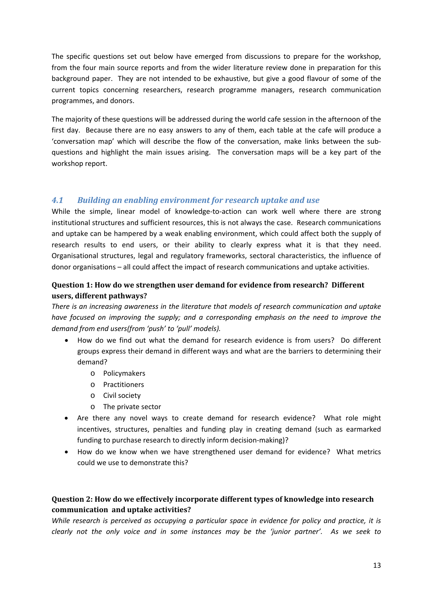The specific questions set out below have emerged from discussions to prepare for the workshop, from the four main source reports and from the wider literature review done in preparation for this background paper. They are not intended to be exhaustive, but give a good flavour of some of the current topics concerning researchers, research programme managers, research communication programmes, and donors.

The majority of these questions will be addressed during the world cafe session in the afternoon of the first day. Because there are no easy answers to any of them, each table at the cafe will produce a 'conversation map' which will describe the flow of the conversation, make links between the sub‐ questions and highlight the main issues arising. The conversation maps will be a key part of the workshop report.

## *4.1 Building an enabling environment for research uptake and use*

While the simple, linear model of knowledge-to-action can work well where there are strong institutional structures and sufficient resources, this is not always the case. Research communications and uptake can be hampered by a weak enabling environment, which could affect both the supply of research results to end users, or their ability to clearly express what it is that they need. Organisational structures, legal and regulatory frameworks, sectoral characteristics, the influence of donor organisations – all could affect the impact of research communications and uptake activities.

## **Question 1: How do we strengthen user demand for evidence from research? Different users, different pathways?**

*There is an increasing awareness in the literature that models of research communication and uptake have focused on improving the supply; and a corresponding emphasis on the need to improve the demand from end users(from 'push' to 'pull' models).* 

- How do we find out what the demand for research evidence is from users? Do different groups express their demand in different ways and what are the barriers to determining their demand?
	- o Policymakers
	- o Practitioners
	- o Civil society
	- o The private sector
- Are there any novel ways to create demand for research evidence? What role might incentives, structures, penalties and funding play in creating demand (such as earmarked funding to purchase research to directly inform decision-making)?
- How do we know when we have strengthened user demand for evidence? What metrics could we use to demonstrate this?

## **Question 2: How do we effectively incorporate different types of knowledge into research communication and uptake activities?**

*While research is perceived as occupying a particular space in evidence for policy and practice, it is* clearly not the only voice and in some instances may be the 'junior partner'. As we seek to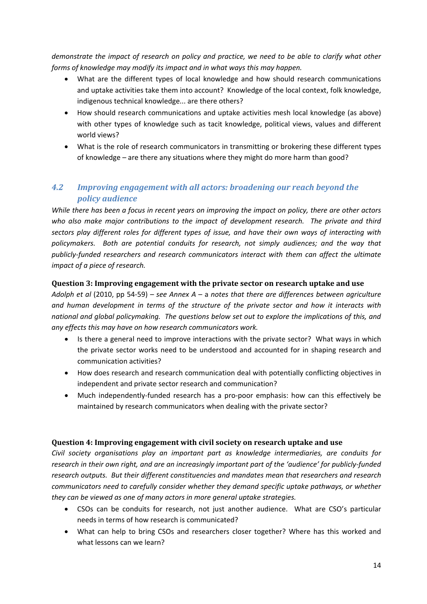demonstrate the impact of research on policy and practice, we need to be able to clarify what other *forms of knowledge may modify its impact and in what ways this may happen.* 

- What are the different types of local knowledge and how should research communications and uptake activities take them into account? Knowledge of the local context, folk knowledge, indigenous technical knowledge... are there others?
- How should research communications and uptake activities mesh local knowledge (as above) with other types of knowledge such as tacit knowledge, political views, values and different world views?
- What is the role of research communicators in transmitting or brokering these different types of knowledge – are there any situations where they might do more harm than good?

# *4.2 Improving engagement with all actors: broadening our reach beyond the policy audience*

While there has been a focus in recent years on improving the impact on policy, there are other actors *who also make major contributions to the impact of development research. The private and third sectors play different roles for different types of issue, and have their own ways of interacting with policymakers. Both are potential conduits for research, not simply audiences; and the way that publicly‐funded researchers and research communicators interact with them can affect the ultimate impact of a piece of research.* 

## **Question 3: Improving engagement with the private sector on research uptake and use**

*Adolph et al* (2010, pp 54‐59) *– see Annex A* – a *notes that there are differences between agriculture and human development in terms of the structure of the private sector and how it interacts with national and global policymaking. The questions below set out to explore the implications of this, and any effects this may have on how research communicators work.* 

- Is there a general need to improve interactions with the private sector? What ways in which the private sector works need to be understood and accounted for in shaping research and communication activities?
- How does research and research communication deal with potentially conflicting objectives in independent and private sector research and communication?
- Much independently‐funded research has a pro‐poor emphasis: how can this effectively be maintained by research communicators when dealing with the private sector?

### **Question 4: Improving engagement with civil society on research uptake and use**

*Civil society organisations play an important part as knowledge intermediaries, are conduits for* research in their own right, and are an increasingly important part of the 'audience' for publicly-funded *research outputs. But their different constituencies and mandates mean that researchers and research communicators need to carefully consider whether they demand specific uptake pathways, or whether they can be viewed as one of many actors in more general uptake strategies.*

- CSOs can be conduits for research, not just another audience. What are CSO's particular needs in terms of how research is communicated?
- What can help to bring CSOs and researchers closer together? Where has this worked and what lessons can we learn?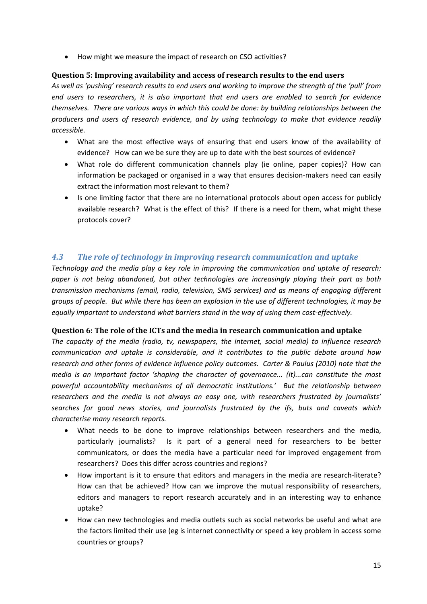• How might we measure the impact of research on CSO activities?

## **Question 5: Improving availability and access of research results to the end users**

As well as 'pushing' research results to end users and working to improve the strength of the 'pull' from *end users to researchers, it is also important that end users are enabled to search for evidence themselves. There are various ways in which this could be done: by building relationships between the producers and users of research evidence, and by using technology to make that evidence readily accessible.* 

- What are the most effective ways of ensuring that end users know of the availability of evidence? How can we be sure they are up to date with the best sources of evidence?
- What role do different communication channels play (ie online, paper copies)? How can information be packaged or organised in a way that ensures decision‐makers need can easily extract the information most relevant to them?
- Is one limiting factor that there are no international protocols about open access for publicly available research? What is the effect of this? If there is a need for them, what might these protocols cover?

## *4.3 The role of technology in improving research communication and uptake*

*Technology and the media play a key role in improving the communication and uptake of research: paper is not being abandoned, but other technologies are increasingly playing their part as both transmission mechanisms (email, radio, television, SMS services) and as means of engaging different* groups of people. But while there has been an explosion in the use of different technologies, it may be *equally important to understand what barriers stand in the way of using them cost‐effectively.* 

### **Question 6: The role of the ICTs and the media in research communication and uptake**

*The capacity of the media (radio, tv, newspapers, the internet, social media) to influence research communication and uptake is considerable, and it contributes to the public debate around how research and other forms of evidence influence policy outcomes. Carter & Paulus (2010) note that the media is an important factor 'shaping the character of governance... (it)...can constitute the most powerful accountability mechanisms of all democratic institutions.' But the relationship between researchers and the media is not always an easy one, with researchers frustrated by journalists' searches for good news stories, and journalists frustrated by the ifs, buts and caveats which characterise many research reports.* 

- What needs to be done to improve relationships between researchers and the media, particularly journalists? Is it part of a general need for researchers to be better communicators, or does the media have a particular need for improved engagement from researchers? Does this differ across countries and regions?
- How important is it to ensure that editors and managers in the media are research‐literate? How can that be achieved? How can we improve the mutual responsibility of researchers, editors and managers to report research accurately and in an interesting way to enhance uptake?
- How can new technologies and media outlets such as social networks be useful and what are the factors limited their use (eg is internet connectivity or speed a key problem in access some countries or groups?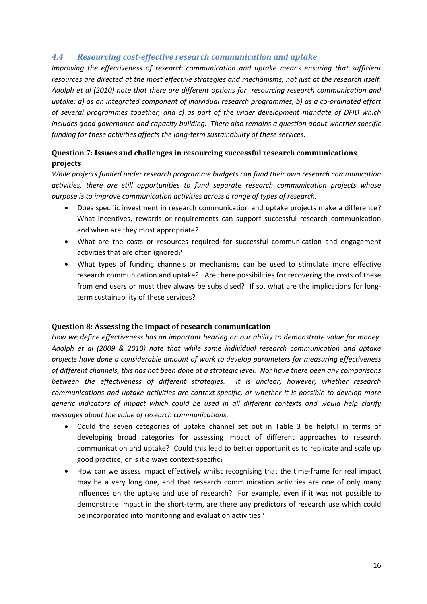## *4.4 Resourcing costeffective research communication and uptake*

*Improving the effectiveness of research communication and uptake means ensuring that sufficient* resources are directed at the most effective strategies and mechanisms, not just at the research itself. *Adolph et al (2010) note that there are different options for resourcing research communication and uptake: a) as an integrated component of individual research programmes, b) as a co‐ordinated effort of several programmes together, and c) as part of the wider development mandate of DFID which includes good governance and capacity building. There also remains a question about whether specific funding for these activities affects the long‐term sustainability of these services.*

## **Question 7: Issues and challenges in resourcing successful research communications projects**

*While projects funded under research programme budgets can fund their own research communication activities, there are still opportunities to fund separate research communication projects whose purpose is to improve communication activities across a range of types of research.*

- Does specific investment in research communication and uptake projects make a difference? What incentives, rewards or requirements can support successful research communication and when are they most appropriate?
- What are the costs or resources required for successful communication and engagement activities that are often ignored?
- What types of funding channels or mechanisms can be used to stimulate more effective research communication and uptake? Are there possibilities for recovering the costs of these from end users or must they always be subsidised? If so, what are the implications for longterm sustainability of these services?

#### **Question 8: Assessing the impact of research communication**

*How we define effectiveness has an important bearing on our ability to demonstrate value for money. Adolph et al (2009 & 2010) note that while some individual research communication and uptake projects have done a considerable amount of work to develop parameters for measuring effectiveness* of different channels, this has not been done at a strategic level. Nor have there been any comparisons *between the effectiveness of different strategies. It is unclear, however, whether research communications and uptake activities are context‐specific, or whether it is possible to develop more generic indicators of impact which could be used in all different contexts and would help clarify messages about the value of research communications.* 

- Could the seven categories of uptake channel set out in Table 3 be helpful in terms of developing broad categories for assessing impact of different approaches to research communication and uptake? Could this lead to better opportunities to replicate and scale up good practice, or is it always context‐specific?
- How can we assess impact effectively whilst recognising that the time-frame for real impact may be a very long one, and that research communication activities are one of only many influences on the uptake and use of research? For example, even if it was not possible to demonstrate impact in the short‐term, are there any predictors of research use which could be incorporated into monitoring and evaluation activities?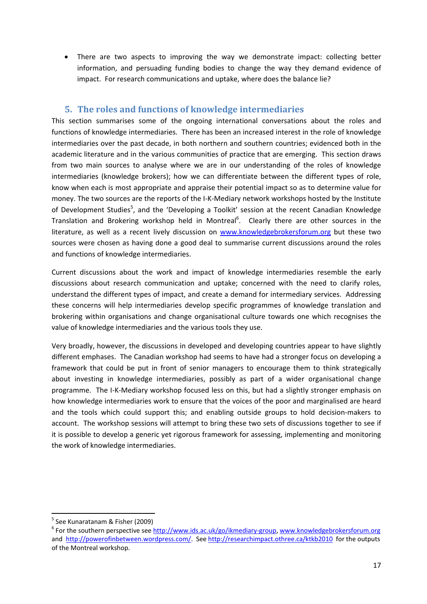• There are two aspects to improving the way we demonstrate impact: collecting better information, and persuading funding bodies to change the way they demand evidence of impact. For research communications and uptake, where does the balance lie?

## **5. The roles and functions of knowledge intermediaries**

This section summarises some of the ongoing international conversations about the roles and functions of knowledge intermediaries. There has been an increased interest in the role of knowledge intermediaries over the past decade, in both northern and southern countries; evidenced both in the academic literature and in the various communities of practice that are emerging. This section draws from two main sources to analyse where we are in our understanding of the roles of knowledge intermediaries (knowledge brokers); how we can differentiate between the different types of role, know when each is most appropriate and appraise their potential impact so as to determine value for money. The two sources are the reports of the I-K-Mediary network workshops hosted by the Institute of Development Studies<sup>5</sup>, and the 'Developing a Toolkit' session at the recent Canadian Knowledge Translation and Brokering workshop held in Montreal<sup>6</sup>. Clearly there are other sources in the literature, as well as a recent lively discussion on www.knowledgebrokersforum.org but these two sources were chosen as having done a good deal to summarise current discussions around the roles and functions of knowledge intermediaries.

Current discussions about the work and impact of knowledge intermediaries resemble the early discussions about research communication and uptake; concerned with the need to clarify roles, understand the different types of impact, and create a demand for intermediary services. Addressing these concerns will help intermediaries develop specific programmes of knowledge translation and brokering within organisations and change organisational culture towards one which recognises the value of knowledge intermediaries and the various tools they use.

Very broadly, however, the discussions in developed and developing countries appear to have slightly different emphases. The Canadian workshop had seems to have had a stronger focus on developing a framework that could be put in front of senior managers to encourage them to think strategically about investing in knowledge intermediaries, possibly as part of a wider organisational change programme. The I‐K‐Mediary workshop focused less on this, but had a slightly stronger emphasis on how knowledge intermediaries work to ensure that the voices of the poor and marginalised are heard and the tools which could support this; and enabling outside groups to hold decision-makers to account. The workshop sessions will attempt to bring these two sets of discussions together to see if it is possible to develop a generic yet rigorous framework for assessing, implementing and monitoring the work of knowledge intermediaries.

<sup>&</sup>lt;sup>5</sup> See Kunaratanam & Fisher (2009)<br><sup>6</sup> For the southern perspective see http://www.ids.ac.uk/go/ikmediary-group, www.knowledgebrokersforum.org and http://powerofinbetween.wordpress.com/. See http://researchimpact.othree.ca/ktkb2010 for the outputs of the Montreal workshop.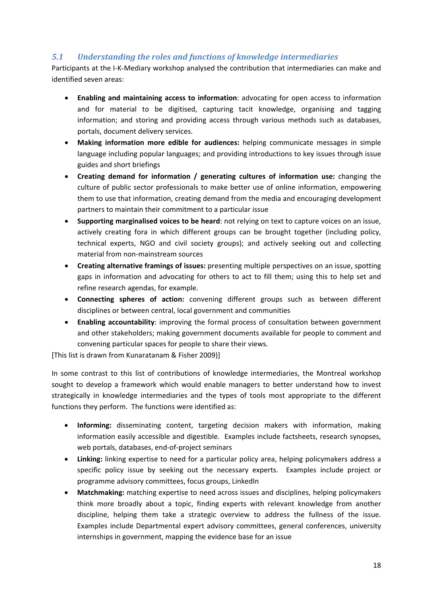# *5.1 Understanding the roles and functions of knowledge intermediaries*

Participants at the I‐K‐Mediary workshop analysed the contribution that intermediaries can make and identified seven areas:

- **Enabling and maintaining access to information**: advocating for open access to information and for material to be digitised, capturing tacit knowledge, organising and tagging information; and storing and providing access through various methods such as databases, portals, document delivery services.
- **Making information more edible for audiences:** helping communicate messages in simple language including popular languages; and providing introductions to key issues through issue guides and short briefings
- **Creating demand for information / generating cultures of information use:** changing the culture of public sector professionals to make better use of online information, empowering them to use that information, creating demand from the media and encouraging development partners to maintain their commitment to a particular issue
- **Supporting marginalised voices to be heard**: not relying on text to capture voices on an issue, actively creating fora in which different groups can be brought together (including policy, technical experts, NGO and civil society groups); and actively seeking out and collecting material from non‐mainstream sources
- **Creating alternative framings of issues:** presenting multiple perspectives on an issue, spotting gaps in information and advocating for others to act to fill them; using this to help set and refine research agendas, for example.
- **Connecting spheres of action:** convening different groups such as between different disciplines or between central, local government and communities
- **Enabling accountability**: improving the formal process of consultation between government and other stakeholders; making government documents available for people to comment and convening particular spaces for people to share their views.

[This list is drawn from Kunaratanam & Fisher 2009)]

In some contrast to this list of contributions of knowledge intermediaries, the Montreal workshop sought to develop a framework which would enable managers to better understand how to invest strategically in knowledge intermediaries and the types of tools most appropriate to the different functions they perform. The functions were identified as:

- **Informing:** disseminating content, targeting decision makers with information, making information easily accessible and digestible. Examples include factsheets, research synopses, web portals, databases, end‐of‐project seminars
- **Linking:** linking expertise to need for a particular policy area, helping policymakers address a specific policy issue by seeking out the necessary experts. Examples include project or programme advisory committees, focus groups, LinkedIn
- **Matchmaking:** matching expertise to need across issues and disciplines, helping policymakers think more broadly about a topic, finding experts with relevant knowledge from another discipline, helping them take a strategic overview to address the fullness of the issue. Examples include Departmental expert advisory committees, general conferences, university internships in government, mapping the evidence base for an issue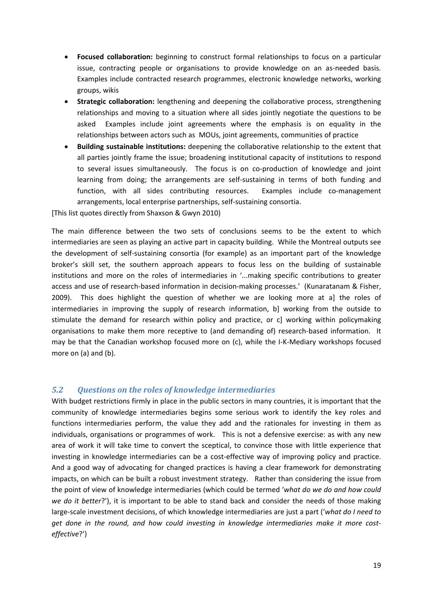- **Focused collaboration:** beginning to construct formal relationships to focus on a particular issue, contracting people or organisations to provide knowledge on an as‐needed basis. Examples include contracted research programmes, electronic knowledge networks, working groups, wikis
- **Strategic collaboration:** lengthening and deepening the collaborative process, strengthening relationships and moving to a situation where all sides jointly negotiate the questions to be asked Examples include joint agreements where the emphasis is on equality in the relationships between actors such as MOUs, joint agreements, communities of practice
- **Building sustainable institutions:** deepening the collaborative relationship to the extent that all parties jointly frame the issue; broadening institutional capacity of institutions to respond to several issues simultaneously. The focus is on co-production of knowledge and joint learning from doing; the arrangements are self-sustaining in terms of both funding and function, with all sides contributing resources. Examples include co-management arrangements, local enterprise partnerships, self‐sustaining consortia.

[This list quotes directly from Shaxson & Gwyn 2010)

The main difference between the two sets of conclusions seems to be the extent to which intermediaries are seen as playing an active part in capacity building. While the Montreal outputs see the development of self‐sustaining consortia (for example) as an important part of the knowledge broker's skill set, the southern approach appears to focus less on the building of sustainable institutions and more on the roles of intermediaries in '...making specific contributions to greater access and use of research-based information in decision-making processes.' (Kunaratanam & Fisher, 2009). This does highlight the question of whether we are looking more at a] the roles of intermediaries in improving the supply of research information, b] working from the outside to stimulate the demand for research within policy and practice, or c] working within policymaking organisations to make them more receptive to (and demanding of) research-based information. It may be that the Canadian workshop focused more on (c), while the I-K-Mediary workshops focused more on (a) and (b).

#### *5.2 Questions on the roles of knowledge intermediaries*

With budget restrictions firmly in place in the public sectors in many countries, it is important that the community of knowledge intermediaries begins some serious work to identify the key roles and functions intermediaries perform, the value they add and the rationales for investing in them as individuals, organisations or programmes of work. This is not a defensive exercise: as with any new area of work it will take time to convert the sceptical, to convince those with little experience that investing in knowledge intermediaries can be a cost-effective way of improving policy and practice. And a good way of advocating for changed practices is having a clear framework for demonstrating impacts, on which can be built a robust investment strategy. Rather than considering the issue from the point of view of knowledge intermediaries (which could be termed '*what do we do and how could we do it better*?'), it is important to be able to stand back and consider the needs of those making large‐scale investment decisions, of which knowledge intermediaries are just a part ('*what do I need to get done in the round, and how could investing in knowledge intermediaries make it more cost‐ effective*?')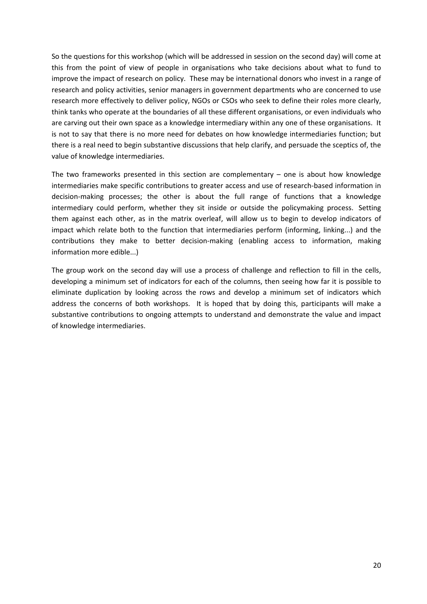So the questions for this workshop (which will be addressed in session on the second day) will come at this from the point of view of people in organisations who take decisions about what to fund to improve the impact of research on policy. These may be international donors who invest in a range of research and policy activities, senior managers in government departments who are concerned to use research more effectively to deliver policy, NGOs or CSOs who seek to define their roles more clearly, think tanks who operate at the boundaries of all these different organisations, or even individuals who are carving out their own space as a knowledge intermediary within any one of these organisations. It is not to say that there is no more need for debates on how knowledge intermediaries function; but there is a real need to begin substantive discussions that help clarify, and persuade the sceptics of, the value of knowledge intermediaries.

The two frameworks presented in this section are complementary  $-$  one is about how knowledge intermediaries make specific contributions to greater access and use of research‐based information in decision‐making processes; the other is about the full range of functions that a knowledge intermediary could perform, whether they sit inside or outside the policymaking process. Setting them against each other, as in the matrix overleaf, will allow us to begin to develop indicators of impact which relate both to the function that intermediaries perform (informing, linking...) and the contributions they make to better decision-making (enabling access to information, making information more edible...)

The group work on the second day will use a process of challenge and reflection to fill in the cells, developing a minimum set of indicators for each of the columns, then seeing how far it is possible to eliminate duplication by looking across the rows and develop a minimum set of indicators which address the concerns of both workshops. It is hoped that by doing this, participants will make a substantive contributions to ongoing attempts to understand and demonstrate the value and impact of knowledge intermediaries.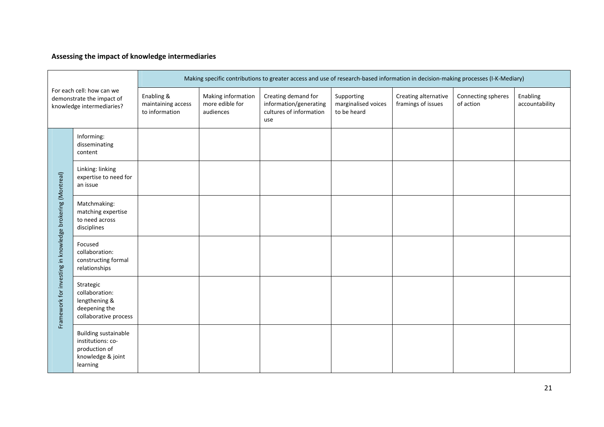# **Assessing the impact of knowledge intermediaries**

| For each cell: how can we<br>demonstrate the impact of<br>knowledge intermediaries? |                                                                                                    | Making specific contributions to greater access and use of research-based information in decision-making processes (I-K-Mediary) |                                                    |                                                                                 |                                                  |                                            |                                 |                            |
|-------------------------------------------------------------------------------------|----------------------------------------------------------------------------------------------------|----------------------------------------------------------------------------------------------------------------------------------|----------------------------------------------------|---------------------------------------------------------------------------------|--------------------------------------------------|--------------------------------------------|---------------------------------|----------------------------|
|                                                                                     |                                                                                                    | Enabling &<br>maintaining access<br>to information                                                                               | Making information<br>more edible for<br>audiences | Creating demand for<br>information/generating<br>cultures of information<br>use | Supporting<br>marginalised voices<br>to be heard | Creating alternative<br>framings of issues | Connecting spheres<br>of action | Enabling<br>accountability |
|                                                                                     | Informing:<br>disseminating<br>content                                                             |                                                                                                                                  |                                                    |                                                                                 |                                                  |                                            |                                 |                            |
|                                                                                     | Linking: linking<br>expertise to need for<br>an issue                                              |                                                                                                                                  |                                                    |                                                                                 |                                                  |                                            |                                 |                            |
|                                                                                     | Matchmaking:<br>matching expertise<br>to need across<br>disciplines                                |                                                                                                                                  |                                                    |                                                                                 |                                                  |                                            |                                 |                            |
|                                                                                     | Focused<br>collaboration:<br>constructing formal<br>relationships                                  |                                                                                                                                  |                                                    |                                                                                 |                                                  |                                            |                                 |                            |
| Framework for investing in knowledge brokering (Montreal)                           | Strategic<br>collaboration:<br>lengthening &<br>deepening the<br>collaborative process             |                                                                                                                                  |                                                    |                                                                                 |                                                  |                                            |                                 |                            |
|                                                                                     | <b>Building sustainable</b><br>institutions: co-<br>production of<br>knowledge & joint<br>learning |                                                                                                                                  |                                                    |                                                                                 |                                                  |                                            |                                 |                            |